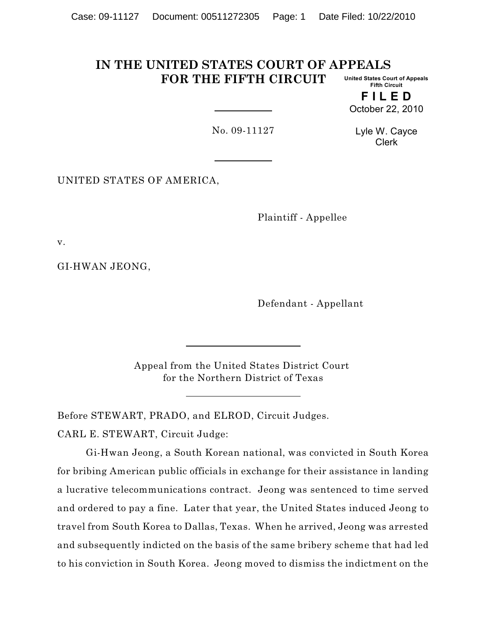#### **IN THE UNITED STATES COURT OF APPEALS FOR THE FIFTH CIRCUIT United States Court of Appeals Fifth Circuit**

**F I L E D** October 22, 2010

No. 09-11127

Lyle W. Cayce Clerk

UNITED STATES OF AMERICA,

Plaintiff - Appellee

v.

GI-HWAN JEONG,

Defendant - Appellant

Appeal from the United States District Court for the Northern District of Texas

Before STEWART, PRADO, and ELROD, Circuit Judges.

CARL E. STEWART, Circuit Judge:

Gi-Hwan Jeong, a South Korean national, was convicted in South Korea for bribing American public officials in exchange for their assistance in landing a lucrative telecommunications contract. Jeong was sentenced to time served and ordered to pay a fine. Later that year, the United States induced Jeong to travel from South Korea to Dallas, Texas. When he arrived, Jeong was arrested and subsequently indicted on the basis of the same bribery scheme that had led to his conviction in South Korea. Jeong moved to dismiss the indictment on the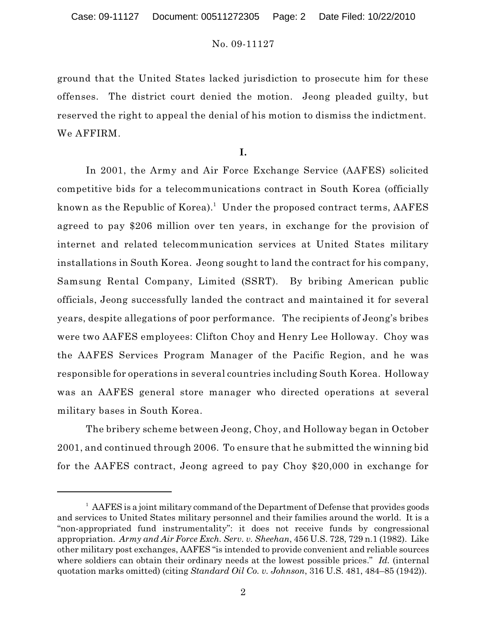ground that the United States lacked jurisdiction to prosecute him for these offenses. The district court denied the motion. Jeong pleaded guilty, but reserved the right to appeal the denial of his motion to dismiss the indictment. We AFFIRM.

**I.**

In 2001, the Army and Air Force Exchange Service (AAFES) solicited competitive bids for a telecommunications contract in South Korea (officially known as the Republic of Korea). $^{\rm 1}$  Under the proposed contract terms, <code>AAFES</code> agreed to pay \$206 million over ten years, in exchange for the provision of internet and related telecommunication services at United States military installations in South Korea. Jeong sought to land the contract for his company, Samsung Rental Company, Limited (SSRT). By bribing American public officials, Jeong successfully landed the contract and maintained it for several years, despite allegations of poor performance. The recipients of Jeong's bribes were two AAFES employees: Clifton Choy and Henry Lee Holloway. Choy was the AAFES Services Program Manager of the Pacific Region, and he was responsible for operations in several countries including South Korea. Holloway was an AAFES general store manager who directed operations at several military bases in South Korea.

The bribery scheme between Jeong, Choy, and Holloway began in October 2001, and continued through 2006. To ensure that he submitted the winning bid for the AAFES contract, Jeong agreed to pay Choy \$20,000 in exchange for

<sup>&</sup>lt;sup>1</sup> AAFES is a joint military command of the Department of Defense that provides goods and services to United States military personnel and their families around the world. It is a "non-appropriated fund instrumentality": it does not receive funds by congressional appropriation. *Army and Air Force Exch. Serv. v. Sheehan*, 456 U.S. 728, 729 n.1 (1982). Like other military post exchanges, AAFES "is intended to provide convenient and reliable sources where soldiers can obtain their ordinary needs at the lowest possible prices." *Id.* (internal quotation marks omitted) (citing *Standard Oil Co. v. Johnson*, 316 U.S. 481, 484–85 (1942)).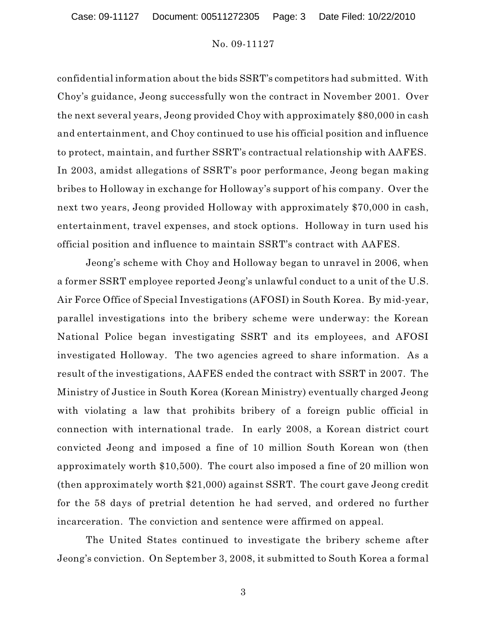confidential information about the bids SSRT's competitors had submitted. With Choy's guidance, Jeong successfully won the contract in November 2001. Over the next several years, Jeong provided Choy with approximately \$80,000 in cash and entertainment, and Choy continued to use his official position and influence to protect, maintain, and further SSRT's contractual relationship with AAFES. In 2003, amidst allegations of SSRT's poor performance, Jeong began making bribes to Holloway in exchange for Holloway's support of his company. Over the next two years, Jeong provided Holloway with approximately \$70,000 in cash, entertainment, travel expenses, and stock options. Holloway in turn used his official position and influence to maintain SSRT's contract with AAFES.

Jeong's scheme with Choy and Holloway began to unravel in 2006, when a former SSRT employee reported Jeong's unlawful conduct to a unit of the U.S. Air Force Office of Special Investigations (AFOSI) in South Korea. By mid-year, parallel investigations into the bribery scheme were underway: the Korean National Police began investigating SSRT and its employees, and AFOSI investigated Holloway. The two agencies agreed to share information. As a result of the investigations, AAFES ended the contract with SSRT in 2007. The Ministry of Justice in South Korea (Korean Ministry) eventually charged Jeong with violating a law that prohibits bribery of a foreign public official in connection with international trade. In early 2008, a Korean district court convicted Jeong and imposed a fine of 10 million South Korean won (then approximately worth \$10,500). The court also imposed a fine of 20 million won (then approximately worth \$21,000) against SSRT. The court gave Jeong credit for the 58 days of pretrial detention he had served, and ordered no further incarceration. The conviction and sentence were affirmed on appeal.

The United States continued to investigate the bribery scheme after Jeong's conviction. On September 3, 2008, it submitted to South Korea a formal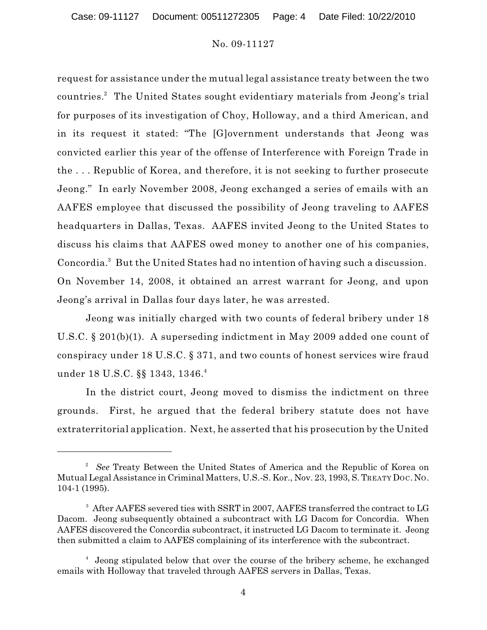request for assistance under the mutual legal assistance treaty between the two countries. $^2$  The United States sought evidentiary materials from Jeong's trial for purposes of its investigation of Choy, Holloway, and a third American, and in its request it stated: "The [G]overnment understands that Jeong was convicted earlier this year of the offense of Interference with Foreign Trade in the . . . Republic of Korea, and therefore, it is not seeking to further prosecute Jeong." In early November 2008, Jeong exchanged a series of emails with an AAFES employee that discussed the possibility of Jeong traveling to AAFES headquarters in Dallas, Texas. AAFES invited Jeong to the United States to discuss his claims that AAFES owed money to another one of his companies, Concordia.<sup>3</sup> But the United States had no intention of having such a discussion. On November 14, 2008, it obtained an arrest warrant for Jeong, and upon Jeong's arrival in Dallas four days later, he was arrested.

Jeong was initially charged with two counts of federal bribery under 18 U.S.C. § 201(b)(1). A superseding indictment in May 2009 added one count of conspiracy under 18 U.S.C. § 371, and two counts of honest services wire fraud under 18 U.S.C. §§ 1343, 1346. 4

In the district court, Jeong moved to dismiss the indictment on three grounds. First, he argued that the federal bribery statute does not have extraterritorial application. Next, he asserted that his prosecution by the United

<sup>&</sup>lt;sup>2</sup> See Treaty Between the United States of America and the Republic of Korea on Mutual Legal Assistance in Criminal Matters, U.S.-S. Kor., Nov. 23, 1993, S. TREATY DOC. NO. 104-1 (1995).

<sup>&</sup>lt;sup>3</sup> After AAFES severed ties with SSRT in 2007, AAFES transferred the contract to LG Dacom. Jeong subsequently obtained a subcontract with LG Dacom for Concordia. When AAFES discovered the Concordia subcontract, it instructed LG Dacom to terminate it. Jeong then submitted a claim to AAFES complaining of its interference with the subcontract.

<sup>&</sup>lt;sup>4</sup> Jeong stipulated below that over the course of the bribery scheme, he exchanged emails with Holloway that traveled through AAFES servers in Dallas, Texas.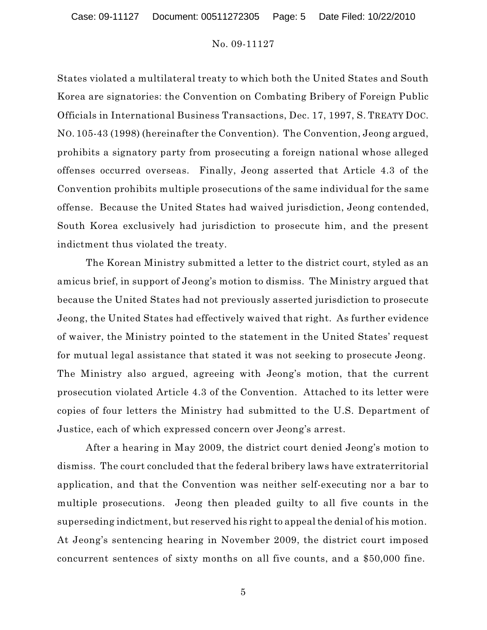States violated a multilateral treaty to which both the United States and South Korea are signatories: the Convention on Combating Bribery of Foreign Public Officials in International Business Transactions, Dec. 17, 1997, S. TREATY DOC. NO. 105-43 (1998) (hereinafter the Convention). The Convention, Jeong argued, prohibits a signatory party from prosecuting a foreign national whose alleged offenses occurred overseas. Finally, Jeong asserted that Article 4.3 of the Convention prohibits multiple prosecutions of the same individual for the same offense. Because the United States had waived jurisdiction, Jeong contended, South Korea exclusively had jurisdiction to prosecute him, and the present indictment thus violated the treaty.

The Korean Ministry submitted a letter to the district court, styled as an amicus brief, in support of Jeong's motion to dismiss. The Ministry argued that because the United States had not previously asserted jurisdiction to prosecute Jeong, the United States had effectively waived that right. As further evidence of waiver, the Ministry pointed to the statement in the United States' request for mutual legal assistance that stated it was not seeking to prosecute Jeong. The Ministry also argued, agreeing with Jeong's motion, that the current prosecution violated Article 4.3 of the Convention. Attached to its letter were copies of four letters the Ministry had submitted to the U.S. Department of Justice, each of which expressed concern over Jeong's arrest.

After a hearing in May 2009, the district court denied Jeong's motion to dismiss. The court concluded that the federal bribery laws have extraterritorial application, and that the Convention was neither self-executing nor a bar to multiple prosecutions. Jeong then pleaded guilty to all five counts in the superseding indictment, but reserved his right to appeal the denial of his motion. At Jeong's sentencing hearing in November 2009, the district court imposed concurrent sentences of sixty months on all five counts, and a \$50,000 fine.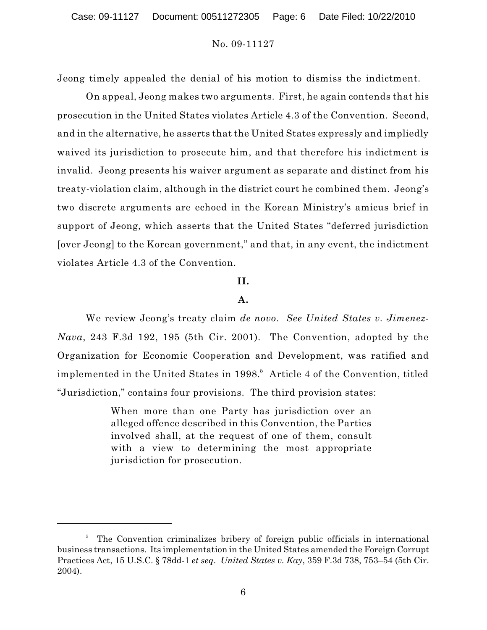Jeong timely appealed the denial of his motion to dismiss the indictment.

On appeal, Jeong makes two arguments. First, he again contends that his prosecution in the United States violates Article 4.3 of the Convention. Second, and in the alternative, he asserts that the United States expressly and impliedly waived its jurisdiction to prosecute him, and that therefore his indictment is invalid. Jeong presents his waiver argument as separate and distinct from his treaty-violation claim, although in the district court he combined them. Jeong's two discrete arguments are echoed in the Korean Ministry's amicus brief in support of Jeong, which asserts that the United States "deferred jurisdiction [over Jeong] to the Korean government," and that, in any event, the indictment violates Article 4.3 of the Convention.

#### **II.**

#### **A.**

We review Jeong's treaty claim *de novo*. *See United States v. Jimenez-Nava*, 243 F.3d 192, 195 (5th Cir. 2001). The Convention, adopted by the Organization for Economic Cooperation and Development, was ratified and implemented in the United States in 1998. $^5\,$  Article 4 of the Convention, titled "Jurisdiction," contains four provisions. The third provision states:

> When more than one Party has jurisdiction over an alleged offence described in this Convention, the Parties involved shall, at the request of one of them, consult with a view to determining the most appropriate jurisdiction for prosecution.

<sup>&</sup>lt;sup>5</sup> The Convention criminalizes bribery of foreign public officials in international business transactions. Its implementation in the United States amended the Foreign Corrupt Practices Act, 15 U.S.C. § 78dd-1 *et seq*. *United States v. Kay*, 359 F.3d 738, 753–54 (5th Cir. 2004).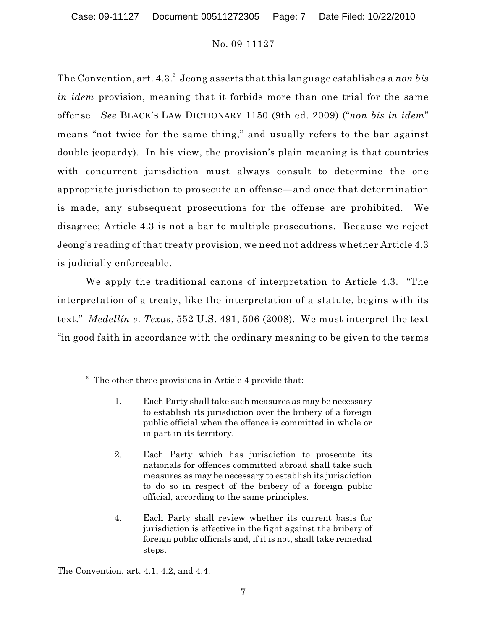The Convention, art. 4.3.<sup>6</sup> Jeong asserts that this language establishes a *non bis in idem* provision, meaning that it forbids more than one trial for the same offense. *See* BLACK'S LAW DICTIONARY 1150 (9th ed. 2009) ("*non bis in idem*" means "not twice for the same thing," and usually refers to the bar against double jeopardy). In his view, the provision's plain meaning is that countries with concurrent jurisdiction must always consult to determine the one appropriate jurisdiction to prosecute an offense—and once that determination is made, any subsequent prosecutions for the offense are prohibited. We disagree; Article 4.3 is not a bar to multiple prosecutions. Because we reject Jeong's reading of that treaty provision, we need not address whether Article 4.3 is judicially enforceable.

We apply the traditional canons of interpretation to Article 4.3. "The interpretation of a treaty, like the interpretation of a statute, begins with its text." *Medellín v. Texas*, 552 U.S. 491, 506 (2008). We must interpret the text "in good faith in accordance with the ordinary meaning to be given to the terms

The Convention, art. 4.1, 4.2, and 4.4.

 $6\degree$  The other three provisions in Article 4 provide that:

<sup>1.</sup> Each Party shall take such measures as may be necessary to establish its jurisdiction over the bribery of a foreign public official when the offence is committed in whole or in part in its territory.

<sup>2.</sup> Each Party which has jurisdiction to prosecute its nationals for offences committed abroad shall take such measures as may be necessary to establish its jurisdiction to do so in respect of the bribery of a foreign public official, according to the same principles.

<sup>4.</sup> Each Party shall review whether its current basis for jurisdiction is effective in the fight against the bribery of foreign public officials and, if it is not, shall take remedial steps.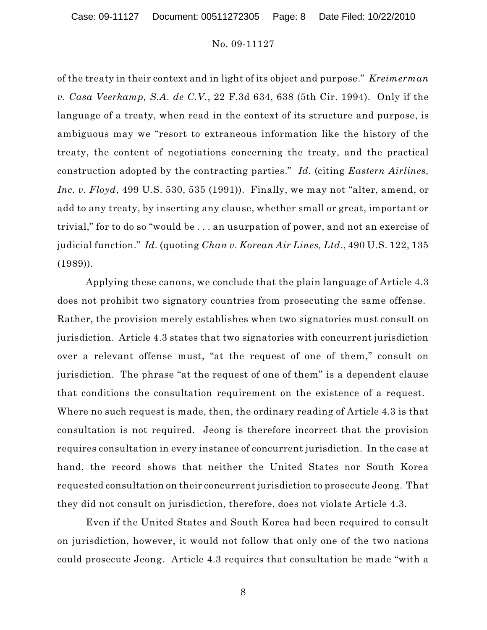of the treaty in their context and in light of its object and purpose." *Kreimerman v. Casa Veerkamp, S.A. de C.V.*, 22 F.3d 634, 638 (5th Cir. 1994). Only if the language of a treaty, when read in the context of its structure and purpose, is ambiguous may we "resort to extraneous information like the history of the treaty, the content of negotiations concerning the treaty, and the practical construction adopted by the contracting parties." *Id.* (citing *Eastern Airlines, Inc. v. Floyd*, 499 U.S. 530, 535 (1991)). Finally, we may not "alter, amend, or add to any treaty, by inserting any clause, whether small or great, important or trivial," for to do so "would be . . . an usurpation of power, and not an exercise of judicial function." *Id.* (quoting *Chan v. Korean Air Lines, Ltd.*, 490 U.S. 122, 135 (1989)).

Applying these canons, we conclude that the plain language of Article 4.3 does not prohibit two signatory countries from prosecuting the same offense. Rather, the provision merely establishes when two signatories must consult on jurisdiction. Article 4.3 states that two signatories with concurrent jurisdiction over a relevant offense must, "at the request of one of them," consult on jurisdiction. The phrase "at the request of one of them" is a dependent clause that conditions the consultation requirement on the existence of a request. Where no such request is made, then, the ordinary reading of Article 4.3 is that consultation is not required. Jeong is therefore incorrect that the provision requires consultation in every instance of concurrent jurisdiction. In the case at hand, the record shows that neither the United States nor South Korea requested consultation on their concurrent jurisdiction to prosecute Jeong. That they did not consult on jurisdiction, therefore, does not violate Article 4.3.

Even if the United States and South Korea had been required to consult on jurisdiction, however, it would not follow that only one of the two nations could prosecute Jeong. Article 4.3 requires that consultation be made "with a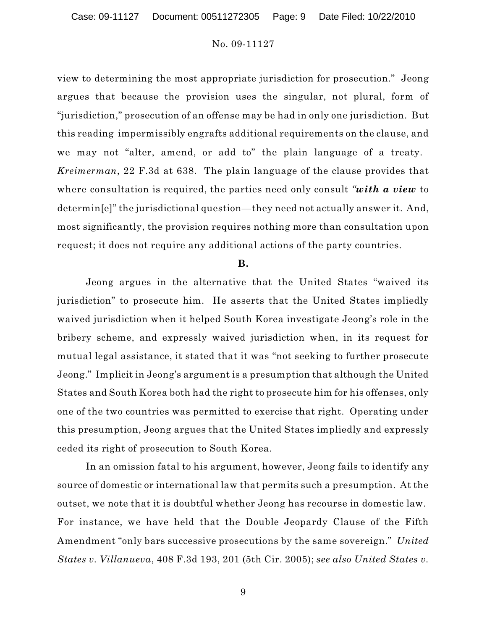view to determining the most appropriate jurisdiction for prosecution." Jeong argues that because the provision uses the singular, not plural, form of "jurisdiction," prosecution of an offense may be had in only one jurisdiction. But this reading impermissibly engrafts additional requirements on the clause, and we may not "alter, amend, or add to" the plain language of a treaty. *Kreimerman*, 22 F.3d at 638. The plain language of the clause provides that where consultation is required, the parties need only consult *"with a view* to determin[e]" the jurisdictional question—they need not actually answer it. And, most significantly, the provision requires nothing more than consultation upon request; it does not require any additional actions of the party countries.

#### **B.**

Jeong argues in the alternative that the United States "waived its jurisdiction" to prosecute him. He asserts that the United States impliedly waived jurisdiction when it helped South Korea investigate Jeong's role in the bribery scheme, and expressly waived jurisdiction when, in its request for mutual legal assistance, it stated that it was "not seeking to further prosecute Jeong." Implicit in Jeong's argument is a presumption that although the United States and South Korea both had the right to prosecute him for his offenses, only one of the two countries was permitted to exercise that right. Operating under this presumption, Jeong argues that the United States impliedly and expressly ceded its right of prosecution to South Korea.

In an omission fatal to his argument, however, Jeong fails to identify any source of domestic or international law that permits such a presumption. At the outset, we note that it is doubtful whether Jeong has recourse in domestic law. For instance, we have held that the Double Jeopardy Clause of the Fifth Amendment "only bars successive prosecutions by the same sovereign." *United States v. Villanueva*, 408 F.3d 193, 201 (5th Cir. 2005); *see also United States v.*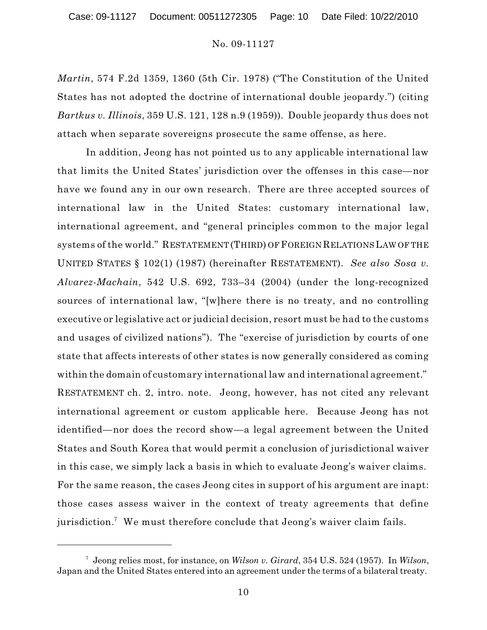*Martin*, 574 F.2d 1359, 1360 (5th Cir. 1978) ("The Constitution of the United States has not adopted the doctrine of international double jeopardy.") (citing *Bartkus v. Illinois*, 359 U.S. 121, 128 n.9 (1959)). Double jeopardy thus does not attach when separate sovereigns prosecute the same offense, as here.

In addition, Jeong has not pointed us to any applicable international law that limits the United States' jurisdiction over the offenses in this case—nor have we found any in our own research. There are three accepted sources of international law in the United States: customary international law, international agreement, and "general principles common to the major legal systems of the world." RESTATEMENT (THIRD) OF FOREIGN RELATIONSLAW OF THE UNITED STATES § 102(1) (1987) (hereinafter RESTATEMENT). *See also Sosa v. Alvarez-Machain*, 542 U.S. 692, 733–34 (2004) (under the long-recognized sources of international law, "[w]here there is no treaty, and no controlling executive or legislative act or judicial decision, resort must be had to the customs and usages of civilized nations"). The "exercise of jurisdiction by courts of one state that affects interests of other states is now generally considered as coming within the domain of customary international law and international agreement." RESTATEMENT ch. 2, intro. note. Jeong, however, has not cited any relevant international agreement or custom applicable here. Because Jeong has not identified—nor does the record show—a legal agreement between the United States and South Korea that would permit a conclusion of jurisdictional waiver in this case, we simply lack a basis in which to evaluate Jeong's waiver claims. For the same reason, the cases Jeong cites in support of his argument are inapt: those cases assess waiver in the context of treaty agreements that define jurisdiction.<sup>7</sup> We must therefore conclude that Jeong's waiver claim fails.

Jeong relies most, for instance, on *Wilson v. Girard*, 354 U.S. 524 (1957). In *Wilson*, 7 Japan and the United States entered into an agreement under the terms of a bilateral treaty.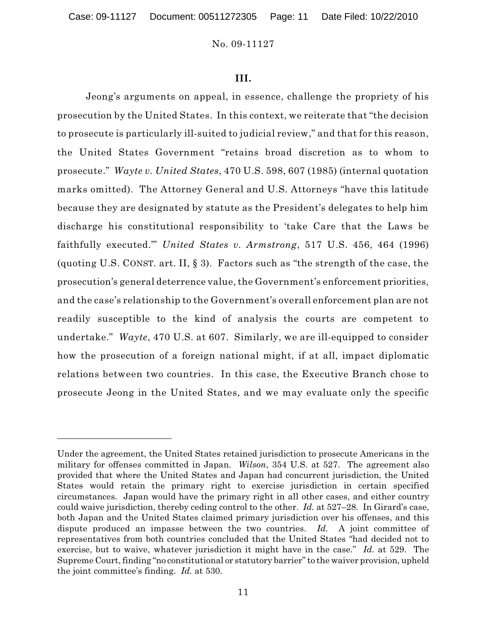#### **III.**

Jeong's arguments on appeal, in essence, challenge the propriety of his prosecution by the United States. In this context, we reiterate that "the decision to prosecute is particularly ill-suited to judicial review," and that for this reason, the United States Government "retains broad discretion as to whom to prosecute." *Wayte v. United States*, 470 U.S. 598, 607 (1985) (internal quotation marks omitted). The Attorney General and U.S. Attorneys "have this latitude because they are designated by statute as the President's delegates to help him discharge his constitutional responsibility to 'take Care that the Laws be faithfully executed.'" *United States v. Armstrong*, 517 U.S. 456, 464 (1996) (quoting U.S. CONST. art. II, § 3). Factors such as "the strength of the case, the prosecution's general deterrence value, the Government's enforcement priorities, and the case's relationship to the Government's overall enforcement plan are not readily susceptible to the kind of analysis the courts are competent to undertake." *Wayte*, 470 U.S. at 607. Similarly, we are ill-equipped to consider how the prosecution of a foreign national might, if at all, impact diplomatic relations between two countries. In this case, the Executive Branch chose to prosecute Jeong in the United States, and we may evaluate only the specific

Under the agreement, the United States retained jurisdiction to prosecute Americans in the military for offenses committed in Japan. *Wilson*, 354 U.S. at 527. The agreement also provided that where the United States and Japan had concurrent jurisdiction, the United States would retain the primary right to exercise jurisdiction in certain specified circumstances. Japan would have the primary right in all other cases, and either country could waive jurisdiction, thereby ceding control to the other. *Id.* at 527–28. In Girard's case, both Japan and the United States claimed primary jurisdiction over his offenses, and this dispute produced an impasse between the two countries. Id. A joint committee of representatives from both countries concluded that the United States "had decided not to exercise, but to waive, whatever jurisdiction it might have in the case." *Id.* at 529. The Supreme Court, finding "no constitutional or statutory barrier" to the waiver provision, upheld the joint committee's finding. *Id.* at 530.